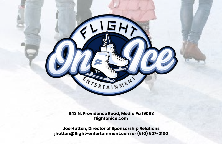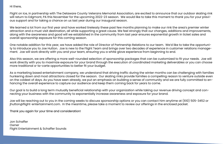Hi there,

Flight on Ice, in partnership with The Delaware County Veterans Memorial Association, are excited to announce that our outdoor skating rink will return to Edgmont, PA this November for the upcoming 2022-23 season. We would like to take this moment to thank you for your previous support and for taking a chance on us last year during our inaugural season.

We learned a lot from our first year and have worked tirelessly these past few months planning to make our rink the area's premier winter attraction and a must visit destination, all while supporting a great cause. We feel strongly that our changes, additions and improvements, along with the awareness and good will we established in the community from last year ensures exponential growth in ticket sales and overall sponsorship exposure for this coming season.

One notable addition for this year, we have added the role of Director of Partnership Relations to our team. We'd like to take the opportunity to introduce you to Joe Hutton. Joe is new to the Flight Team and brings over two decades of experience in customer relations management. Joe will work directly with you and your team, ensuring you a white glove experience from beginning to end.

Also this season, we are offering a more well-rounded selection of sponsorship packages that can be customized to fit your needs. Joe will work directly with you to maximize exposure for your brand through the execution of coordinated marketing deliverables or you can choose more traditional a-la-carte opportunities to better fit your budget.

As a marketing based entertainment company, we understand that driving traffic during the winter months can be challenging with families hunkering down and most attractions closed for the season. Our skating rinks provide families a compelling reason to venture outside even on the coldest of days. As you have seen already, we put an emphasis on building a sense of community and we are fully committed to enhancing the overall experience to capture our audience and keep them coming back for years to come.

Our goal is to build a long term mutually beneficial relationship with your organization while taking our revenue driving concept and connecting your business with the community to exponentially increase awareness and exposure for your brand.

Joe will be reaching out to you in the coming weeks to discuss sponsorship options or you can contact him anytime at (610) 505-3452 or jhutton@flight-entertainment.com. In the meantime, please take a moment to review our offerings in the enclosed packet.

### Thank you again for your time and consideration!

Jon Schaffer Owner Flight Entertainment & Schaffer Sounds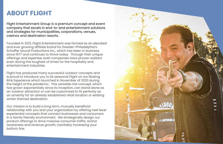## **ABOUT FLIGHT**

Flight Entertainment Group is a premium concept and event company that excels in end-to-end entertainment solutions and strategies for municipalities, corporations, venues, casinos and destination resorts.

Founded in 2013, Flight Entertainment was formed as an elevated and ever growing affiliate brand for Greater-Philadelphia's Schaffer Sound Productions Inc., which has been in business since 1977 and continues to thrive today. Through their unique offerings and expertise, both companies have proven resilient even during the toughest of times for the hospitality and entertainment industries.

Flight has produced many successful outdoor concepts and is proud to introduce you to its seasonal Flight on Ice Skating Rink Experience which launched in November of 2020 during the height of the pandemic. This versatile rink concept, which has grown exponentially since its inception, can stand alone as an outdoor attraction or can be customized to fit perfectly as an amenity for an already established retail location or existing winter themed destination.

Our mission is to build a long term, mutually beneficial relationship with you and your organization by offering next level experiential concepts that connect businesses and consumers in a family friendly environment. We strategically design our product offerings to drive massive consumer traffic, brand awareness and revenue growth, inevitably increasing your bottom line.

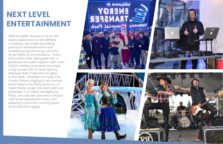# **NEXT LEVEL ENTERTAINMENT**

With Schaffer Sounds and its 40+ years experience as an affiliate company, we make providing premium entertainment and creative programming a priority at all Flight on Ice locations. Every rink comes fully equipped with a professional audio system with over 10,000 holiday and party favorites, a big screen LED TV and lighting displays that make the ice glow in the dark. Whether we have The Frozen Sisters ringing in our annual Noon Year's Eve Party on ice or a Silent Skate under the stars with our patented 3 DJ Silent Headphone Party, you can be assured a unique next level experience every visit keeping customers coming back time and time again.

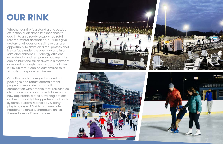# **OUR RINK**

Whether our rink is a stand alone outdoor attraction or an amenity experience to add lift to an already established retail, resort or winter destination, our rinks give skaters of all ages and skill levels a rare opportunity to skate on a real professional ice surface under the open sky and in a safe environment. Our energy efficient, eco-friendly and temporary pop-up rinks can be built and taken away in a matter of days and although the standard rink size is 60x100 feet, it can be customized to fit virtually any space requirement.

Our ultra modern design, branded rink packages and robust entertainment programs separate us from all competition with notable features such as clear boards, compact sized chiller units, new adjustable skates & training options, ambient mood lighting, professional audio systems, customized holiday & party playlists, large LED video screens, silent headphone rentals, characters on ice, themed events & much more.







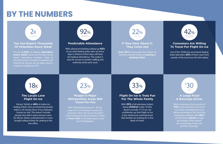# **BY THE NUMBERS**

### **Predictable Attendance**

With advanced ticketing making up **92%** of our total skating ticket sales we know days in advance which days will have the highest attendance. This makes it easy for venues to predict staffing and ordering needs each week.

**Over 20%** of all people that visited our ticketing website ended up **buying a skating ticket.**

### **If They Hear About It, They Come Out**

### **Consumers Are Willing To Travel For Flight On Ice**

Out of the 37,000 pre-purchased skating ticket attendees **42%** of them were from outside of the local area (20 mile radius)

### **The Locals Love Flight On Ice**

Almost 18,000 or **48%** of online ice skating tickets were pruchased by people within a 30 minute drive of our Delaware County ice rink. This doesn't include people who didn't skate and just came for dinner, drinks, entertainment, or even bought walkup tickets for skating at the box office.

### **People In Major Metropolitan Areas Will Travel For Fun**

With Philadelphia being 20 - 30 min away from our Delaware county rink, consumers from this top 10 city didn't mind making the trek to Delware County as **Over 20%** of all ticket buyers came from Philadelphia.

### **Flight On Ice Is Truly Fun For The Whole Family**

With **33%** of all admission tickets being **children** under 10 (this doesn't include 11-17) we can confidently say that Flight on Ice is the wholesome entertainment that families are looking for in the dead of winter.

### **A Large Food & Beverage Driver**

With an average check amount of **\$30**, most customers that come our winter wonderland end up taking advantage of the food and beverages available. With **66%** of them being **adults**, a large percentage of the patrons are consuming at least one alcoholic beverage.

### **You Can Expect Thousands Of Attendees Every Week**

At over **2,000** ice skating **attendees every week** you're sure to have record winter attendance numbers. Keep in mind this doesn't include the parents and friends that visit but do not skate which is roughly an additional 25%.















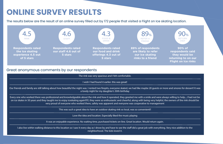# **ONLINE SURVEY RESULTS**

The rink was very spacious and I felt comfortable.

I wish I had found it earlier. this was great!

Our friends and family are still talking about how beautiful the night was. I rented two firepits, everyone skated, we had like maybe 20 guests or more and smores for dessert! It was a lovely night for my daughter's 30th birthday

Every one who worked there was professional and knowledgeable about the rink and how it operated, they greeted me with a smile and were always willing to help....I had not be on ice skates in 50 years and they taught me to enjoy iceskating again!!!!!!, they were so enthusiastic and cheerful, along with being very helpful, the owners of the rink should be very proud of everyone who worked there, safety was apparent and everyone was cooperative to management

I also live within walking distance to this location so I saw it every day as I drove by and have to see the staff did a great job with everything. Very nice addition to the neighborhood. The kids loved it.

This was such a great idea to have an outdoor skating rink so local, was so convenient!!

Love the idea and location. Especially liked the music playing

It was an enjoyable experience. No waiting time, purchased tickets on-line. Great location. Would return again.

The results below are the result of an online survey filled out by 172 people that visited a Flight on Ice skating location.





**90% of respondents said they would be returning to on our Flight on Ice rinks**

### Great anonymous comments by our respondents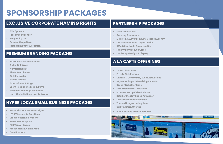# **SPONSORSHIP PACKAGES**

### **EXCLUSIVE CORPORATE NAMING RIGHTS**

- **• Title Sponsor**
- **• Presenting Sponsor**
- **• Hospitality Tent**
- **• Zamboni Logo Wrap**
- **• Instagram Photo Attraction**

### **PREMIUM BRANDING PACKAGES**

- **• Entrance Welcome Banner**
- **• Outer Rink Wrap**
- **• Admissions Hut**
- **• Skate Rental Area**
- **• Rink Perimeter**
- **• Fire Pit Garden**
- **• Entertainment Stage**
- **• Silent Headphone Logo & PSA's**
- **• Alcoholic Beverage Activation**
- **• Non-Alcoholic Beverage Activation**

### **PARTNERSHIP PACKAGES**

- **• F&B Concessions**
- **• Catering Operations**
- **• Marketing, Advertising, PR & Media Agency**
- **• Cross Promotional Opportunities**
- **• 501c3 Charitable Opportunities**
- **• Facility Rentals & Services**
- **• Landscape Design & Display**

### **A LA CARTE OFFERINGS**

- **• Ticket Allotments**
- **• Private Rink Rentals**
- **• Charity & Community Event Activations**
- **• PR, Marketing & Advertising Inclusion**
- **• Social Media Mentions**
- **• Email Newsletter Inclusions**
- 
- 
- 
- 
- 
- **• Public Service Announcements**



### **HYPER LOCAL SMALL BUSINESS PACKAGES**

- **• Inside Rink Dasher Board Signs**
- **• LED TV Screen Ad Rotations**
- **• Logo Inclusion on Website**
- **• Retail Vendor Space**
- **• F&B Vendor Space**
- **• Amusement & Game Area**
- **• Event Rentals**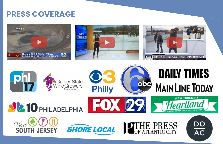## **PRESS COVERAGE**













 $N_{\text{isit}}$ 



# **DAILY TIMES MAIN LINE TODAY**